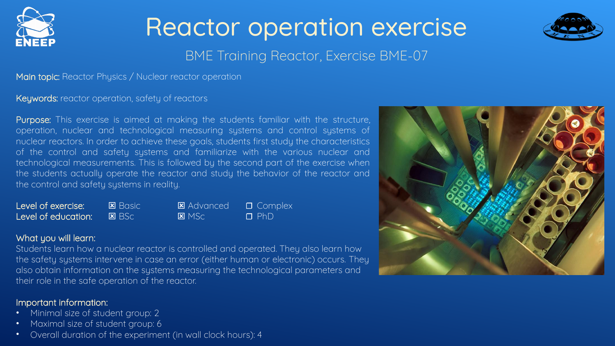

# Reactor operation exercise



### BME Training Reactor, Exercise BME-07

Main topic: Reactor Physics / Nuclear reactor operation

Keywords: reactor operation, safety of reactors

Purpose: This exercise is aimed at making the students familiar with the structure, operation, nuclear and technological measuring systems and control systems of nuclear reactors. In order to achieve these goals, students first study the characteristics of the control and safety systems and familiarize with the various nuclear and technological measurements. This is followed by the second part of the exercise when the students actually operate the reactor and study the behavior of the reactor and the control and safety systems in reality.

| Level of exercise:  | <b>E</b> Basic | <b>E</b> Advanced | $\Box$ Complex |
|---------------------|----------------|-------------------|----------------|
| Level of education: | $B$ BSc        | $R$ MSc           | $\Box$ PhD     |

### What you will learn:

Students learn how a nuclear reactor is controlled and operated. They also learn how the safety systems intervene in case an error (either human or electronic) occurs. They also obtain information on the systems measuring the technological parameters and their role in the safe operation of the reactor.

### Important information:

- Minimal size of student group: 2
- Maximal size of student group: 6
- Overall duration of the experiment (in wall clock hours): 4